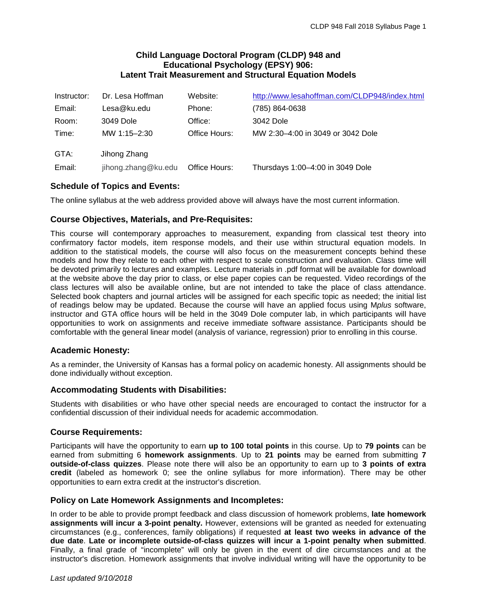# **Child Language Doctoral Program (CLDP) 948 and Educational Psychology (EPSY) 906: Latent Trait Measurement and Structural Equation Models**

| Instructor: | Dr. Lesa Hoffman    | Website:      | http://www.lesahoffman.com/CLDP948/index.html |
|-------------|---------------------|---------------|-----------------------------------------------|
| Email:      | Lesa@ku.edu         | Phone:        | (785) 864-0638                                |
| Room:       | 3049 Dole           | Office:       | 3042 Dole                                     |
| Time:       | MW 1:15-2:30        | Office Hours: | MW 2:30-4:00 in 3049 or 3042 Dole             |
| GTA:        | Jihong Zhang        |               |                                               |
| Email:      | jihong.zhang@ku.edu | Office Hours: | Thursdays 1:00-4:00 in 3049 Dole              |

# **Schedule of Topics and Events:**

The online syllabus at the web address provided above will always have the most current information.

# **Course Objectives, Materials, and Pre-Requisites:**

This course will contemporary approaches to measurement, expanding from classical test theory into confirmatory factor models, item response models, and their use within structural equation models. In addition to the statistical models, the course will also focus on the measurement concepts behind these models and how they relate to each other with respect to scale construction and evaluation. Class time will be devoted primarily to lectures and examples. Lecture materials in .pdf format will be available for download at the website above the day prior to class, or else paper copies can be requested. Video recordings of the class lectures will also be available online, but are not intended to take the place of class attendance. Selected book chapters and journal articles will be assigned for each specific topic as needed; the initial list of readings below may be updated. Because the course will have an applied focus using M*plus* software, instructor and GTA office hours will be held in the 3049 Dole computer lab, in which participants will have opportunities to work on assignments and receive immediate software assistance. Participants should be comfortable with the general linear model (analysis of variance, regression) prior to enrolling in this course.

# **Academic Honesty:**

As a reminder, the University of Kansas has a formal policy on academic honesty. All assignments should be done individually without exception.

# **Accommodating Students with Disabilities:**

Students with disabilities or who have other special needs are encouraged to contact the instructor for a confidential discussion of their individual needs for academic accommodation.

### **Course Requirements:**

Participants will have the opportunity to earn **up to 100 total points** in this course. Up to **79 points** can be earned from submitting 6 **homework assignments**. Up to **21 points** may be earned from submitting **7 outside-of-class quizzes**. Please note there will also be an opportunity to earn up to **3 points of extra credit** (labeled as homework 0; see the online syllabus for more information). There may be other opportunities to earn extra credit at the instructor's discretion.

### **Policy on Late Homework Assignments and Incompletes:**

In order to be able to provide prompt feedback and class discussion of homework problems, **late homework assignments will incur a 3-point penalty.** However, extensions will be granted as needed for extenuating circumstances (e.g., conferences, family obligations) if requested **at least two weeks in advance of the due date**. **Late or incomplete outside-of-class quizzes will incur a 1-point penalty when submitted**. Finally, a final grade of "incomplete" will only be given in the event of dire circumstances and at the instructor's discretion. Homework assignments that involve individual writing will have the opportunity to be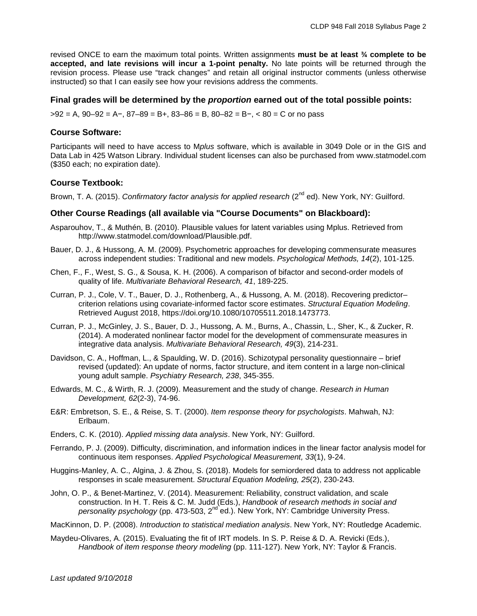revised ONCE to earn the maximum total points. Written assignments **must be at least ¾ complete to be accepted, and late revisions will incur a 1-point penalty.** No late points will be returned through the revision process. Please use "track changes" and retain all original instructor comments (unless otherwise instructed) so that I can easily see how your revisions address the comments.

#### **Final grades will be determined by the** *proportion* **earned out of the total possible points:**

 $>92 = A$ ,  $90-92 = A -$ ,  $87-89 = B +$ ,  $83-86 = B$ ,  $80-82 = B -$ ,  $< 80 = C$  or no pass

### **Course Software:**

Participants will need to have access to M*plus* software, which is available in 3049 Dole or in the GIS and Data Lab in 425 Watson Library. Individual student licenses can also be purchased from www.statmodel.com (\$350 each; no expiration date).

#### **Course Textbook:**

Brown, T. A. (2015). *Confirmatory factor analysis for applied research* (2<sup>nd</sup> ed). New York, NY: Guilford.

#### **Other Course Readings (all available via "Course Documents" on Blackboard):**

- Asparouhov, T., & Muthén, B. (2010). Plausible values for latent variables using Mplus. Retrieved from http://www.statmodel.com/download/Plausible.pdf.
- Bauer, D. J., & Hussong, A. M. (2009). Psychometric approaches for developing commensurate measures across independent studies: Traditional and new models. *Psychological Methods, 14*(2), 101-125.
- Chen, F., F., West, S. G., & Sousa, K. H. (2006). A comparison of bifactor and second-order models of quality of life. *Multivariate Behavioral Research, 41*, 189-225.
- Curran, P. J., Cole, V. T., Bauer, D. J., Rothenberg, A., & Hussong, A. M. (2018). Recovering predictor– criterion relations using covariate-informed factor score estimates. *Structural Equation Modeling*. Retrieved August 2018, https://doi.org/10.1080/10705511.2018.1473773.
- Curran, P. J., McGinley, J. S., Bauer, D. J., Hussong, A. M., Burns, A., Chassin, L., Sher, K., & Zucker, R. (2014). A moderated nonlinear factor model for the development of commensurate measures in integrative data analysis. *Multivariate Behavioral Research, 49*(3), 214-231.
- Davidson, C. A., Hoffman, L., & Spaulding, W. D. (2016). Schizotypal personality questionnaire brief revised (updated): An update of norms, factor structure, and item content in a large non-clinical young adult sample. *Psychiatry Research, 238*, 345-355.
- Edwards, M. C., & Wirth, R. J. (2009). Measurement and the study of change. *Research in Human Development, 62*(2-3), 74-96.
- E&R: Embretson, S. E., & Reise, S. T. (2000). *Item response theory for psychologists*. Mahwah, NJ: Erlbaum.
- Enders, C. K. (2010). *Applied missing data analysis*. New York, NY: Guilford.
- Ferrando, P. J. (2009). Difficulty, discrimination, and information indices in the linear factor analysis model for continuous item responses. *Applied Psychological Measurement, 33*(1), 9-24.
- Huggins-Manley, A. C., Algina, J. & Zhou, S. (2018). Models for semiordered data to address not applicable responses in scale measurement. *Structural Equation Modeling, 25*(2), 230-243.
- John, O. P., & Benet-Martinez, V. (2014). Measurement: Reliability, construct validation, and scale construction. In H. T. Reis & C. M. Judd (Eds.), *Handbook of research methods in social and personality psychology* (pp. 473-503, 2<sup>nd</sup> ed.). New York, NY: Cambridge University Press.
- MacKinnon, D. P. (2008). *Introduction to statistical mediation analysis*. New York, NY: Routledge Academic.
- Maydeu-Olivares, A. (2015). Evaluating the fit of IRT models. In S. P. Reise & D. A. Revicki (Eds.), *Handbook of item response theory modeling* (pp. 111-127). New York, NY: Taylor & Francis.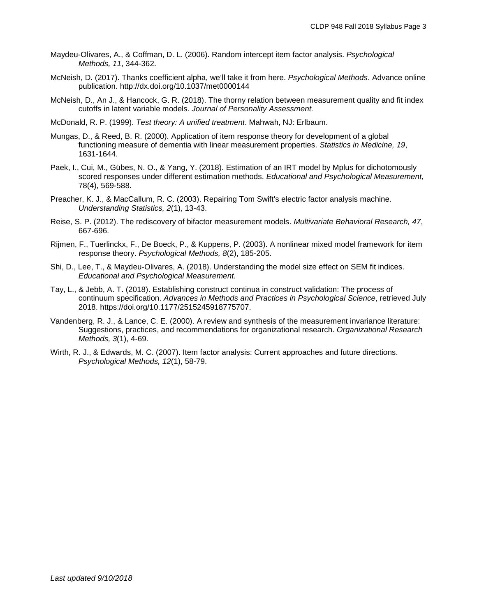- Maydeu-Olivares, A., & Coffman, D. L. (2006). Random intercept item factor analysis. *Psychological Methods, 11*, 344-362.
- McNeish, D. (2017). Thanks coefficient alpha, we'll take it from here. *Psychological Methods*. Advance online publication. http://dx.doi.org/10.1037/met0000144
- McNeish, D., An J., & Hancock, G. R. (2018). The thorny relation between measurement quality and fit index cutoffs in latent variable models. *Journal of Personality Assessment.*
- McDonald, R. P. (1999). *Test theory: A unified treatment*. Mahwah, NJ: Erlbaum.
- Mungas, D., & Reed, B. R. (2000). Application of item response theory for development of a global functioning measure of dementia with linear measurement properties. *Statistics in Medicine, 19*, 1631-1644.
- Paek, I., Cui, M., Gübes, N. O., & Yang, Y. (2018). Estimation of an IRT model by Mplus for dichotomously scored responses under different estimation methods. *Educational and Psychological Measurement*, 78(4), 569-588.
- Preacher, K. J., & MacCallum, R. C. (2003). Repairing Tom Swift's electric factor analysis machine. *Understanding Statistics, 2*(1), 13-43.
- Reise, S. P. (2012). The rediscovery of bifactor measurement models. *Multivariate Behavioral Research, 47*, 667-696.
- Rijmen, F., Tuerlinckx, F., De Boeck, P., & Kuppens, P. (2003). A nonlinear mixed model framework for item response theory. *Psychological Methods, 8*(2), 185-205.
- Shi, D., Lee, T., & Maydeu-Olivares, A. (2018). Understanding the model size effect on SEM fit indices. *Educational and Psychological Measurement.*
- Tay, L., & Jebb, A. T. (2018). Establishing construct continua in construct validation: The process of continuum specification. *Advances in Methods and Practices in Psychological Science*, retrieved July 2018. https://doi.org/10.1177/2515245918775707.
- Vandenberg, R. J., & Lance, C. E. (2000). A review and synthesis of the measurement invariance literature: Suggestions, practices, and recommendations for organizational research. *Organizational Research Methods, 3*(1), 4-69.
- Wirth, R. J., & Edwards, M. C. (2007). Item factor analysis: Current approaches and future directions. *Psychological Methods, 12*(1), 58-79.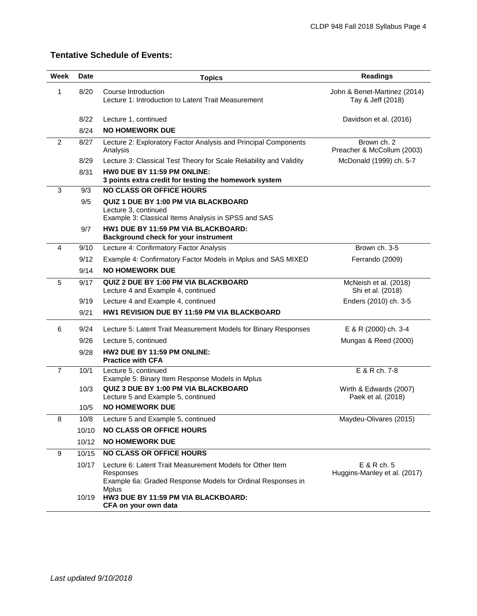# **Tentative Schedule of Events:**

| Week           | Date  | <b>Topics</b>                                                                                                                         | <b>Readings</b>                                   |  |
|----------------|-------|---------------------------------------------------------------------------------------------------------------------------------------|---------------------------------------------------|--|
| 1              | 8/20  | Course Introduction<br>Lecture 1: Introduction to Latent Trait Measurement                                                            | John & Benet-Martinez (2014)<br>Tay & Jeff (2018) |  |
|                | 8/22  | Lecture 1, continued                                                                                                                  | Davidson et al. (2016)                            |  |
|                | 8/24  | <b>NO HOMEWORK DUE</b>                                                                                                                |                                                   |  |
| $\overline{2}$ | 8/27  | Lecture 2: Exploratory Factor Analysis and Principal Components<br>Analysis                                                           | Brown ch. 2<br>Preacher & McCollum (2003)         |  |
|                | 8/29  | Lecture 3: Classical Test Theory for Scale Reliability and Validity                                                                   | McDonald (1999) ch. 5-7                           |  |
|                | 8/31  | HWO DUE BY 11:59 PM ONLINE:<br>3 points extra credit for testing the homework system                                                  |                                                   |  |
| 3              | 9/3   | <b>NO CLASS OR OFFICE HOURS</b>                                                                                                       |                                                   |  |
|                | 9/5   | <b>QUIZ 1 DUE BY 1:00 PM VIA BLACKBOARD</b><br>Lecture 3, continued<br>Example 3: Classical Items Analysis in SPSS and SAS            |                                                   |  |
|                | 9/7   | HW1 DUE BY 11:59 PM VIA BLACKBOARD:<br>Background check for your instrument                                                           |                                                   |  |
| 4              | 9/10  | Lecture 4: Confirmatory Factor Analysis                                                                                               | Brown ch. 3-5                                     |  |
|                | 9/12  | Example 4: Confirmatory Factor Models in Mplus and SAS MIXED                                                                          | Ferrando (2009)                                   |  |
|                | 9/14  | <b>NO HOMEWORK DUE</b>                                                                                                                |                                                   |  |
| 5              | 9/17  | QUIZ 2 DUE BY 1:00 PM VIA BLACKBOARD<br>Lecture 4 and Example 4, continued                                                            | McNeish et al. (2018)<br>Shi et al. (2018)        |  |
|                | 9/19  | Lecture 4 and Example 4, continued                                                                                                    | Enders (2010) ch. 3-5                             |  |
|                | 9/21  | HW1 REVISION DUE BY 11:59 PM VIA BLACKBOARD                                                                                           |                                                   |  |
| 6              | 9/24  | Lecture 5: Latent Trait Measurement Models for Binary Responses                                                                       | E & R (2000) ch. 3-4                              |  |
|                | 9/26  | Lecture 5, continued                                                                                                                  | Mungas & Reed (2000)                              |  |
|                | 9/28  | HW2 DUE BY 11:59 PM ONLINE:<br><b>Practice with CFA</b>                                                                               |                                                   |  |
| $\overline{7}$ | 10/1  | Lecture 5, continued<br>Example 5: Binary Item Response Models in Mplus                                                               | E & R ch. 7-8                                     |  |
|                | 10/3  | QUIZ 3 DUE BY 1:00 PM VIA BLACKBOARD<br>Lecture 5 and Example 5, continued                                                            | Wirth & Edwards (2007)<br>Paek et al. (2018)      |  |
|                | 10/5  | <b>NO HOMEWORK DUE</b>                                                                                                                |                                                   |  |
| 8              | 10/8  | Lecture 5 and Example 5, continued                                                                                                    | Maydeu-Olivares (2015)                            |  |
|                | 10/10 | <b>NO CLASS OR OFFICE HOURS</b>                                                                                                       |                                                   |  |
|                | 10/12 | <b>NO HOMEWORK DUE</b>                                                                                                                |                                                   |  |
| 9              | 10/15 | <b>NO CLASS OR OFFICE HOURS</b>                                                                                                       |                                                   |  |
|                | 10/17 | Lecture 6: Latent Trait Measurement Models for Other Item<br>Responses<br>Example 6a: Graded Response Models for Ordinal Responses in | E & R ch. 5<br>Huggins-Manley et al. (2017)       |  |
|                | 10/19 | <b>Mplus</b><br>HW3 DUE BY 11:59 PM VIA BLACKBOARD:<br>CFA on your own data                                                           |                                                   |  |